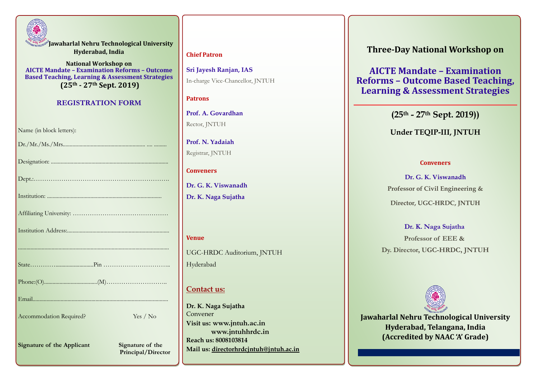

**Jawaharlal Nehru Technological University Hyderabad, India**

**National Workshop on AICTE Mandate – Examination Reforms – Outcome Based Teaching, Learning & Assessment Strategies (25th - 27th Sept. 2019)**

#### **REGISTRATION FORM**

**Signature of the Applicant** Signature of the

 **Principal/Director**

#### **Chief Patron**

**Sri Jayesh Ranjan, IAS** In-charge Vice-Chancellor, JNTUH

#### **Patrons**

**Prof. A. Govardhan**  Rector, JNTUH

**Prof. N. Yadaiah** Registrar, JNTUH

#### **Conveners**

**Dr. G. K. Viswanadh Dr. K. Naga Sujatha**

#### **Venue**

UGC-HRDC Auditorium, JNTUH Hyderabad

#### **Contact us:**

**Dr. K. Naga Sujatha** Convener **Visit us: [www.jntuh.ac.in](http://www.jntuh.ac.in/) www.jntuhhrdc.in Reach us: 8008103814 Mail us: directorhrdcjntuh@jntuh.ac.in** **Three-Day National Workshop on** 

**AICTE Mandate – Examination Reforms – Outcome Based Teaching, Learning & Assessment Strategies**

**(25th - 27th Sept. 2019))**

#### **Under TEQIP-III, JNTUH**

#### **Conveners**

**Dr. G. K. Viswanadh Professor of Civil Engineering & Director, UGC-HRDC, JNTUH**

#### **Dr. K. Naga Sujatha**

**Professor of EEE & Dy. Director, UGC-HRDC, JNTUH**



**Jawaharlal Nehru Technological University Hyderabad, Telangana, India (Accredited by NAAC 'A' Grade)**